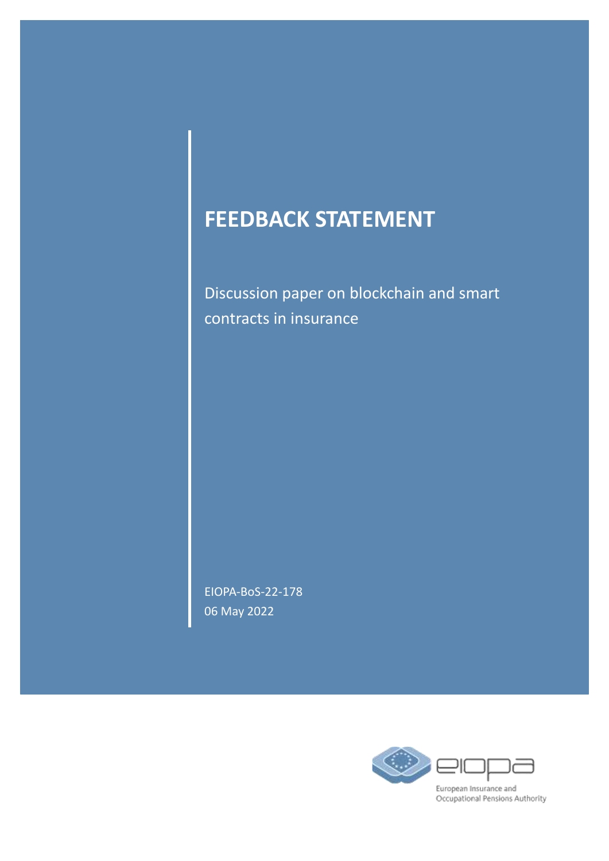# **FEEDBACK STATEMENT**

Discussion paper on blockchain and smart contracts in insurance

EIOPA-BoS-22-178 06 May 2022

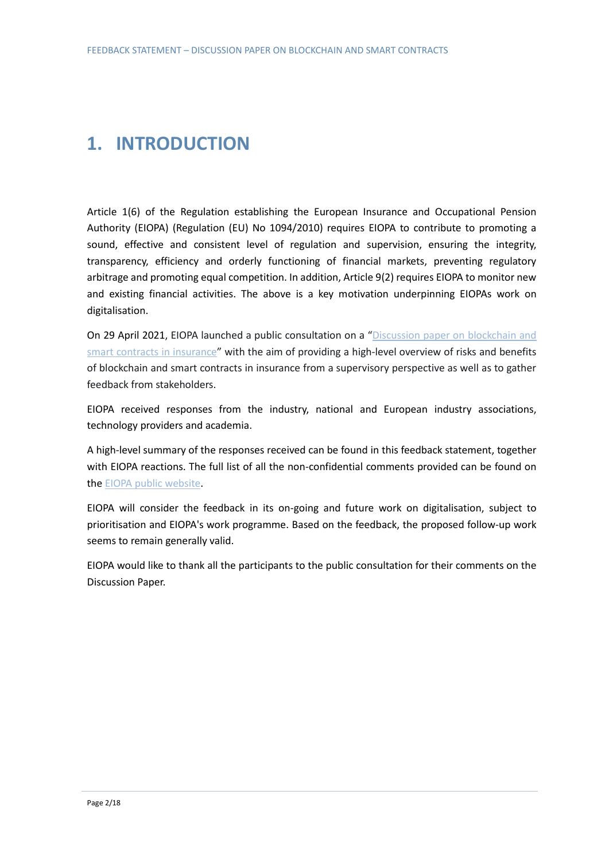### **1. INTRODUCTION**

Article 1(6) of the Regulation establishing the European Insurance and Occupational Pension Authority (EIOPA) (Regulation (EU) No 1094/2010) requires EIOPA to contribute to promoting a sound, effective and consistent level of regulation and supervision, ensuring the integrity, transparency, efficiency and orderly functioning of financial markets, preventing regulatory arbitrage and promoting equal competition. In addition, Article 9(2) requires EIOPA to monitor new and existing financial activities. The above is a key motivation underpinning EIOPAs work on digitalisation.

On 29 April 2021, EIOPA launched a public consultation on a "Discussion paper on blockchain and [smart contracts in insurance"](https://www.eiopa.europa.eu/sites/default/files/publications/consultations/eiopa-discussion-paper-on-blockchain-29-04-2021.pdf) with the aim of providing a high-level overview of risks and benefits of blockchain and smart contracts in insurance from a supervisory perspective as well as to gather feedback from stakeholders.

EIOPA received responses from the industry, national and European industry associations, technology providers and academia.

A high-level summary of the responses received can be found in this feedback statement, together with EIOPA reactions. The full list of all the non-confidential comments provided can be found on th[e EIOPA public website.](https://www.eiopa.europa.eu/sites/default/files/publications/consultations/responses-to-the-public-consultation-on-blockchain-in-insurance.xls)

EIOPA will consider the feedback in its on-going and future work on digitalisation, subject to prioritisation and EIOPA's work programme. Based on the feedback, the proposed follow-up work seems to remain generally valid.

EIOPA would like to thank all the participants to the public consultation for their comments on the Discussion Paper.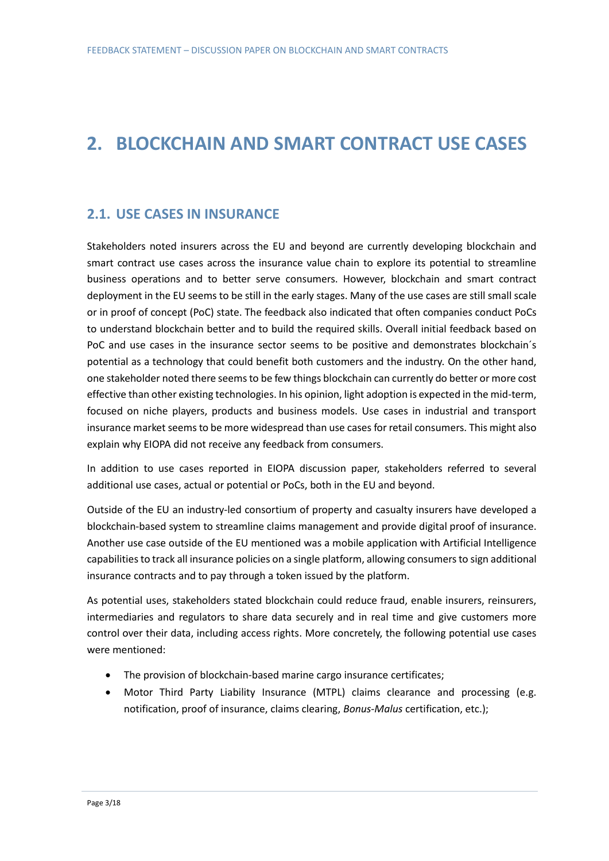## **2. BLOCKCHAIN AND SMART CONTRACT USE CASES**

#### **2.1. USE CASES IN INSURANCE**

Stakeholders noted insurers across the EU and beyond are currently developing blockchain and smart contract use cases across the insurance value chain to explore its potential to streamline business operations and to better serve consumers. However, blockchain and smart contract deployment in the EU seems to be still in the early stages. Many of the use cases are still small scale or in proof of concept (PoC) state. The feedback also indicated that often companies conduct PoCs to understand blockchain better and to build the required skills. Overall initial feedback based on PoC and use cases in the insurance sector seems to be positive and demonstrates blockchain's potential as a technology that could benefit both customers and the industry. On the other hand, one stakeholder noted there seems to be few things blockchain can currently do better or more cost effective than other existing technologies. In his opinion, light adoption is expected in the mid-term, focused on niche players, products and business models. Use cases in industrial and transport insurance market seems to be more widespread than use cases for retail consumers. This might also explain why EIOPA did not receive any feedback from consumers.

In addition to use cases reported in EIOPA discussion paper, stakeholders referred to several additional use cases, actual or potential or PoCs, both in the EU and beyond.

Outside of the EU an industry-led consortium of property and casualty insurers have developed a blockchain-based system to streamline claims management and provide digital proof of insurance. Another use case outside of the EU mentioned was a mobile application with Artificial Intelligence capabilities to track all insurance policies on a single platform, allowing consumers to sign additional insurance contracts and to pay through a token issued by the platform.

As potential uses, stakeholders stated blockchain could reduce fraud, enable insurers, reinsurers, intermediaries and regulators to share data securely and in real time and give customers more control over their data, including access rights. More concretely, the following potential use cases were mentioned:

- The provision of blockchain-based marine cargo insurance certificates;
- Motor Third Party Liability Insurance (MTPL) claims clearance and processing (e.g. notification, proof of insurance, claims clearing, *Bonus-Malus* certification, etc.);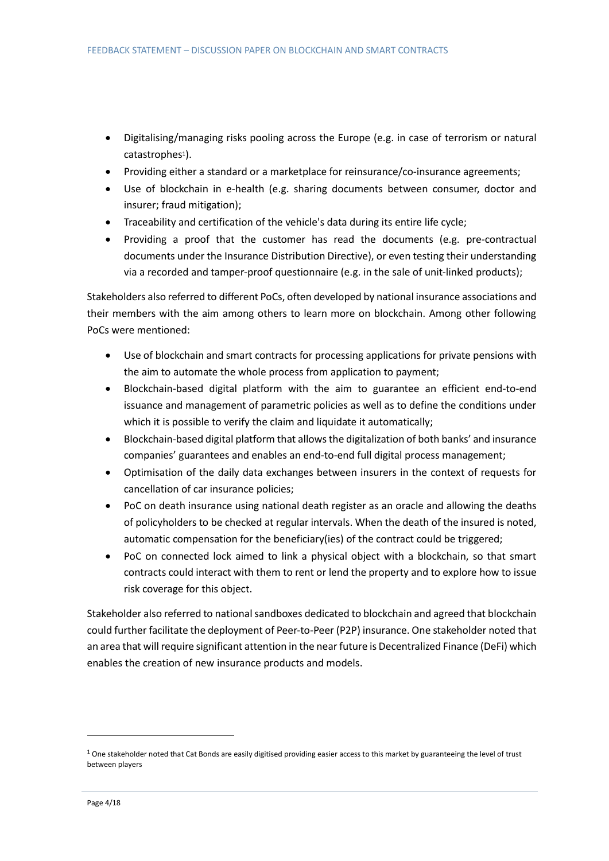- Digitalising/managing risks pooling across the Europe (e.g. in case of terrorism or natural catastrophes<sup>1</sup>).
- Providing either a standard or a marketplace for reinsurance/co-insurance agreements;
- Use of blockchain in e-health (e.g. sharing documents between consumer, doctor and insurer; fraud mitigation);
- Traceability and certification of the vehicle's data during its entire life cycle;
- Providing a proof that the customer has read the documents (e.g. pre-contractual documents under the Insurance Distribution Directive), or even testing their understanding via a recorded and tamper-proof questionnaire (e.g. in the sale of unit-linked products);

Stakeholders also referred to different PoCs, often developed by national insurance associations and their members with the aim among others to learn more on blockchain. Among other following PoCs were mentioned:

- Use of blockchain and smart contracts for processing applications for private pensions with the aim to automate the whole process from application to payment;
- Blockchain-based digital platform with the aim to guarantee an efficient end-to-end issuance and management of parametric policies as well as to define the conditions under which it is possible to verify the claim and liquidate it automatically;
- Blockchain-based digital platform that allows the digitalization of both banks' and insurance companies' guarantees and enables an end-to-end full digital process management;
- Optimisation of the daily data exchanges between insurers in the context of requests for cancellation of car insurance policies;
- PoC on death insurance using national death register as an oracle and allowing the deaths of policyholders to be checked at regular intervals. When the death of the insured is noted, automatic compensation for the beneficiary(ies) of the contract could be triggered;
- PoC on connected lock aimed to link a physical object with a blockchain, so that smart contracts could interact with them to rent or lend the property and to explore how to issue risk coverage for this object.

Stakeholder also referred to national sandboxes dedicated to blockchain and agreed that blockchain could further facilitate the deployment of Peer-to-Peer (P2P) insurance. One stakeholder noted that an area that will require significant attention in the near future is Decentralized Finance (DeFi) which enables the creation of new insurance products and models.

 $1$  One stakeholder noted that Cat Bonds are easily digitised providing easier access to this market by guaranteeing the level of trust between players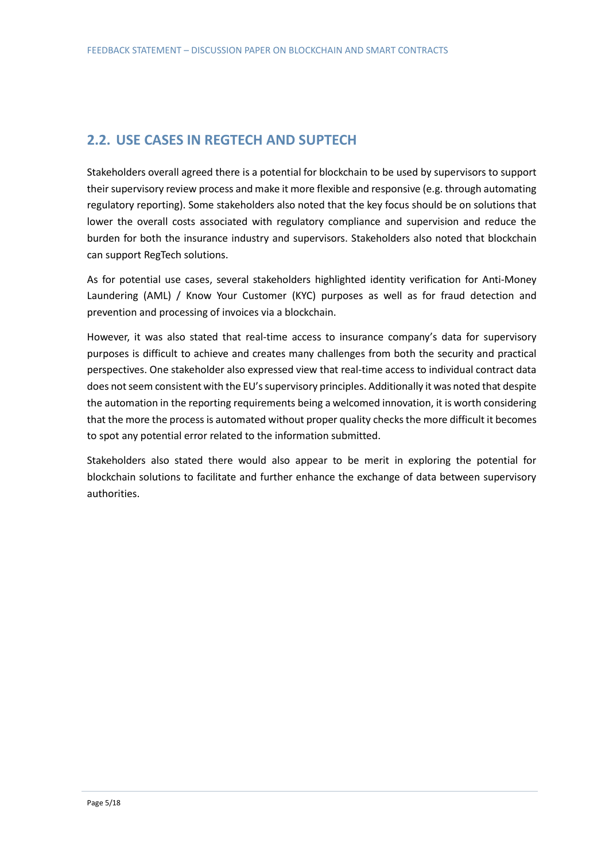### **2.2. USE CASES IN REGTECH AND SUPTECH**

Stakeholders overall agreed there is a potential for blockchain to be used by supervisors to support their supervisory review process and make it more flexible and responsive (e.g. through automating regulatory reporting). Some stakeholders also noted that the key focus should be on solutions that lower the overall costs associated with regulatory compliance and supervision and reduce the burden for both the insurance industry and supervisors. Stakeholders also noted that blockchain can support RegTech solutions.

As for potential use cases, several stakeholders highlighted identity verification for Anti-Money Laundering (AML) / Know Your Customer (KYC) purposes as well as for fraud detection and prevention and processing of invoices via a blockchain.

However, it was also stated that real-time access to insurance company's data for supervisory purposes is difficult to achieve and creates many challenges from both the security and practical perspectives. One stakeholder also expressed view that real-time access to individual contract data does not seem consistent with the EU's supervisory principles. Additionally it was noted that despite the automation in the reporting requirements being a welcomed innovation, it is worth considering that the more the process is automated without proper quality checks the more difficult it becomes to spot any potential error related to the information submitted.

Stakeholders also stated there would also appear to be merit in exploring the potential for blockchain solutions to facilitate and further enhance the exchange of data between supervisory authorities.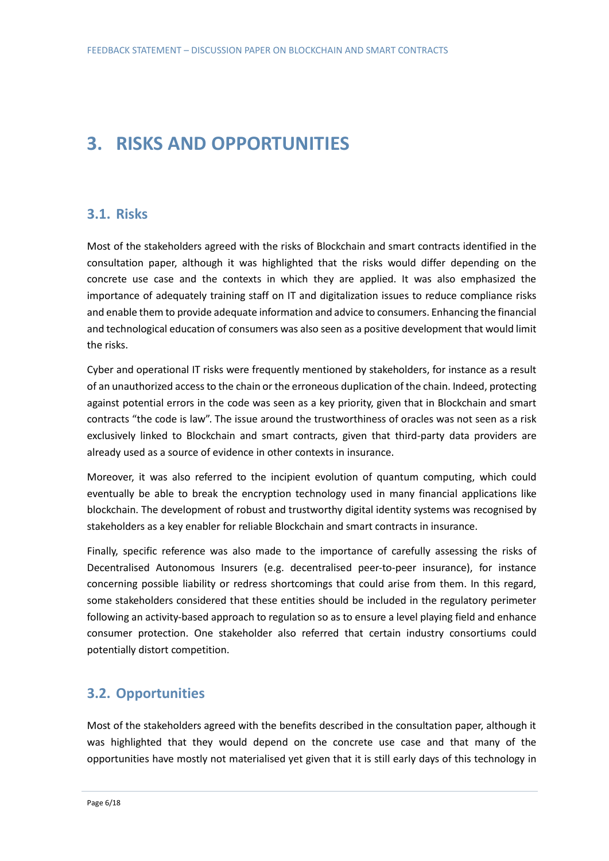## **3. RISKS AND OPPORTUNITIES**

#### **3.1. Risks**

Most of the stakeholders agreed with the risks of Blockchain and smart contracts identified in the consultation paper, although it was highlighted that the risks would differ depending on the concrete use case and the contexts in which they are applied. It was also emphasized the importance of adequately training staff on IT and digitalization issues to reduce compliance risks and enable them to provide adequate information and advice to consumers. Enhancing the financial and technological education of consumers was also seen as a positive development that would limit the risks.

Cyber and operational IT risks were frequently mentioned by stakeholders, for instance as a result of an unauthorized access to the chain or the erroneous duplication of the chain. Indeed, protecting against potential errors in the code was seen as a key priority, given that in Blockchain and smart contracts "the code is law". The issue around the trustworthiness of oracles was not seen as a risk exclusively linked to Blockchain and smart contracts, given that third-party data providers are already used as a source of evidence in other contexts in insurance.

Moreover, it was also referred to the incipient evolution of quantum computing, which could eventually be able to break the encryption technology used in many financial applications like blockchain. The development of robust and trustworthy digital identity systems was recognised by stakeholders as a key enabler for reliable Blockchain and smart contracts in insurance.

Finally, specific reference was also made to the importance of carefully assessing the risks of Decentralised Autonomous Insurers (e.g. decentralised peer-to-peer insurance), for instance concerning possible liability or redress shortcomings that could arise from them. In this regard, some stakeholders considered that these entities should be included in the regulatory perimeter following an activity-based approach to regulation so as to ensure a level playing field and enhance consumer protection. One stakeholder also referred that certain industry consortiums could potentially distort competition.

### **3.2. Opportunities**

Most of the stakeholders agreed with the benefits described in the consultation paper, although it was highlighted that they would depend on the concrete use case and that many of the opportunities have mostly not materialised yet given that it is still early days of this technology in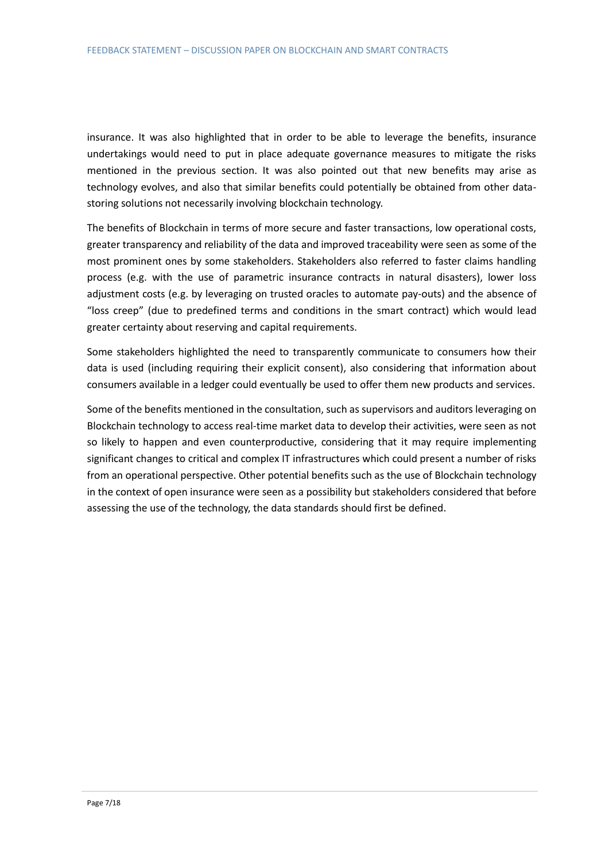insurance. It was also highlighted that in order to be able to leverage the benefits, insurance undertakings would need to put in place adequate governance measures to mitigate the risks mentioned in the previous section. It was also pointed out that new benefits may arise as technology evolves, and also that similar benefits could potentially be obtained from other datastoring solutions not necessarily involving blockchain technology.

The benefits of Blockchain in terms of more secure and faster transactions, low operational costs, greater transparency and reliability of the data and improved traceability were seen as some of the most prominent ones by some stakeholders. Stakeholders also referred to faster claims handling process (e.g. with the use of parametric insurance contracts in natural disasters), lower loss adjustment costs (e.g. by leveraging on trusted oracles to automate pay-outs) and the absence of "loss creep" (due to predefined terms and conditions in the smart contract) which would lead greater certainty about reserving and capital requirements.

Some stakeholders highlighted the need to transparently communicate to consumers how their data is used (including requiring their explicit consent), also considering that information about consumers available in a ledger could eventually be used to offer them new products and services.

Some of the benefits mentioned in the consultation, such as supervisors and auditors leveraging on Blockchain technology to access real-time market data to develop their activities, were seen as not so likely to happen and even counterproductive, considering that it may require implementing significant changes to critical and complex IT infrastructures which could present a number of risks from an operational perspective. Other potential benefits such as the use of Blockchain technology in the context of open insurance were seen as a possibility but stakeholders considered that before assessing the use of the technology, the data standards should first be defined.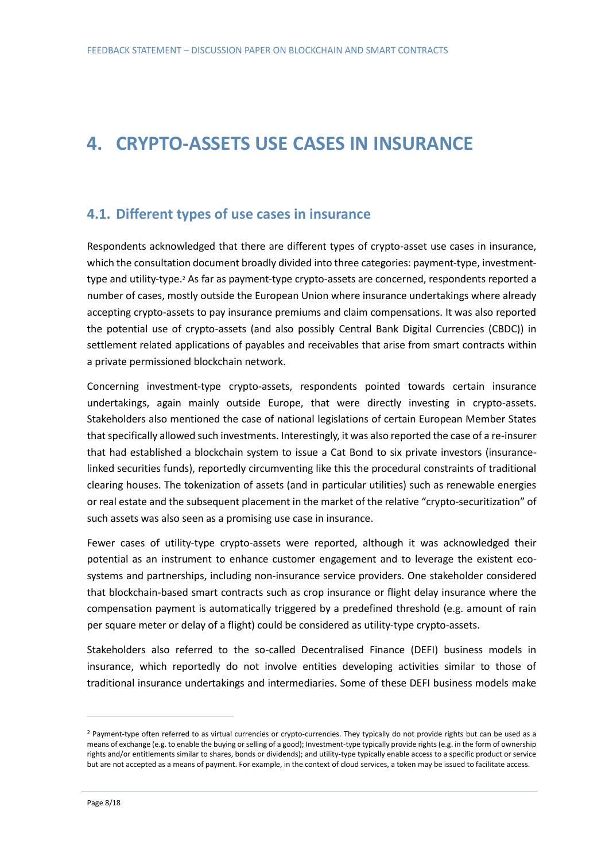# **4. CRYPTO-ASSETS USE CASES IN INSURANCE**

#### **4.1. Different types of use cases in insurance**

Respondents acknowledged that there are different types of crypto-asset use cases in insurance, which the consultation document broadly divided into three categories: payment-type, investmenttype and utility-type.<sup>2</sup> As far as payment-type crypto-assets are concerned, respondents reported a number of cases, mostly outside the European Union where insurance undertakings where already accepting crypto-assets to pay insurance premiums and claim compensations. It was also reported the potential use of crypto-assets (and also possibly Central Bank Digital Currencies (CBDC)) in settlement related applications of payables and receivables that arise from smart contracts within a private permissioned blockchain network.

Concerning investment-type crypto-assets, respondents pointed towards certain insurance undertakings, again mainly outside Europe, that were directly investing in crypto-assets. Stakeholders also mentioned the case of national legislations of certain European Member States that specifically allowed such investments. Interestingly, it was also reported the case of a re-insurer that had established a blockchain system to issue a Cat Bond to six private investors (insurancelinked securities funds), reportedly circumventing like this the procedural constraints of traditional clearing houses. The tokenization of assets (and in particular utilities) such as renewable energies or real estate and the subsequent placement in the market of the relative "crypto-securitization" of such assets was also seen as a promising use case in insurance.

Fewer cases of utility-type crypto-assets were reported, although it was acknowledged their potential as an instrument to enhance customer engagement and to leverage the existent ecosystems and partnerships, including non-insurance service providers. One stakeholder considered that blockchain-based smart contracts such as crop insurance or flight delay insurance where the compensation payment is automatically triggered by a predefined threshold (e.g. amount of rain per square meter or delay of a flight) could be considered as utility-type crypto-assets.

Stakeholders also referred to the so-called Decentralised Finance (DEFI) business models in insurance, which reportedly do not involve entities developing activities similar to those of traditional insurance undertakings and intermediaries. Some of these DEFI business models make

<sup>&</sup>lt;sup>2</sup> Payment-type often referred to as virtual currencies or crypto-currencies. They typically do not provide rights but can be used as a means of exchange (e.g. to enable the buying or selling of a good); Investment-type typically provide rights (e.g. in the form of ownership rights and/or entitlements similar to shares, bonds or dividends); and utility-type typically enable access to a specific product or service but are not accepted as a means of payment. For example, in the context of cloud services, a token may be issued to facilitate access.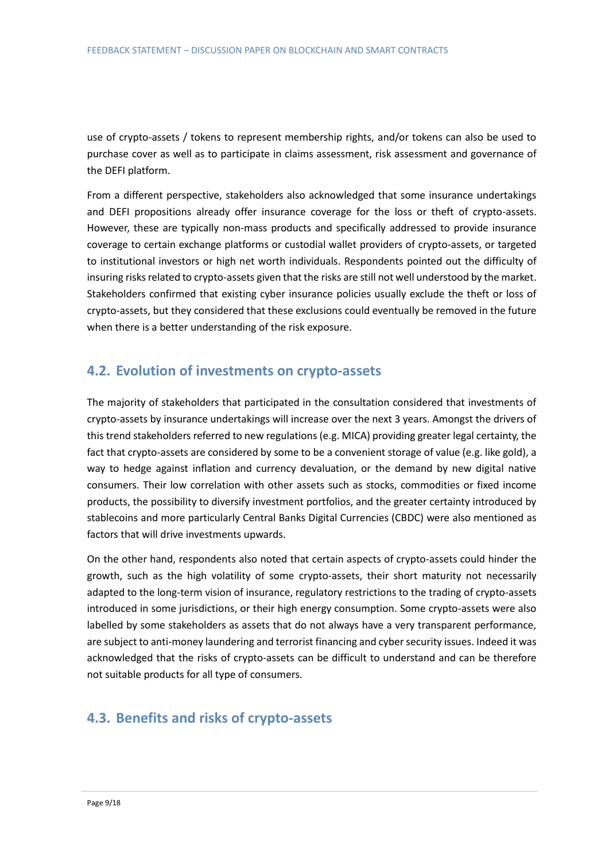use of crypto-assets / tokens to represent membership rights, and/or tokens can also be used to purchase cover as well as to participate in claims assessment, risk assessment and governance of the DEFI platform.

From a different perspective, stakeholders also acknowledged that some insurance undertakings and DEFI propositions already offer insurance coverage for the loss or theft of crypto-assets. However, these are typically non-mass products and specifically addressed to provide insurance coverage to certain exchange platforms or custodial wallet providers of crypto-assets, or targeted to institutional investors or high net worth individuals. Respondents pointed out the difficulty of insuring risks related to crypto-assets given that the risks are still not well understood by the market. Stakeholders confirmed that existing cyber insurance policies usually exclude the theft or loss of crypto-assets, but they considered that these exclusions could eventually be removed in the future when there is a better understanding of the risk exposure.

### **4.2. Evolution of investments on crypto-assets**

The majority of stakeholders that participated in the consultation considered that investments of crypto-assets by insurance undertakings will increase over the next 3 years. Amongst the drivers of this trend stakeholders referred to new regulations (e.g. MICA) providing greater legal certainty, the fact that crypto-assets are considered by some to be a convenient storage of value (e.g. like gold), a way to hedge against inflation and currency devaluation, or the demand by new digital native consumers. Their low correlation with other assets such as stocks, commodities or fixed income products, the possibility to diversify investment portfolios, and the greater certainty introduced by stablecoins and more particularly Central Banks Digital Currencies (CBDC) were also mentioned as factors that will drive investments upwards.

On the other hand, respondents also noted that certain aspects of crypto-assets could hinder the growth, such as the high volatility of some crypto-assets, their short maturity not necessarily adapted to the long-term vision of insurance, regulatory restrictions to the trading of crypto-assets introduced in some jurisdictions, or their high energy consumption. Some crypto-assets were also labelled by some stakeholders as assets that do not always have a very transparent performance, are subject to anti-money laundering and terrorist financing and cyber security issues. Indeed it was acknowledged that the risks of crypto-assets can be difficult to understand and can be therefore not suitable products for all type of consumers.

### **4.3. Benefits and risks of crypto-assets**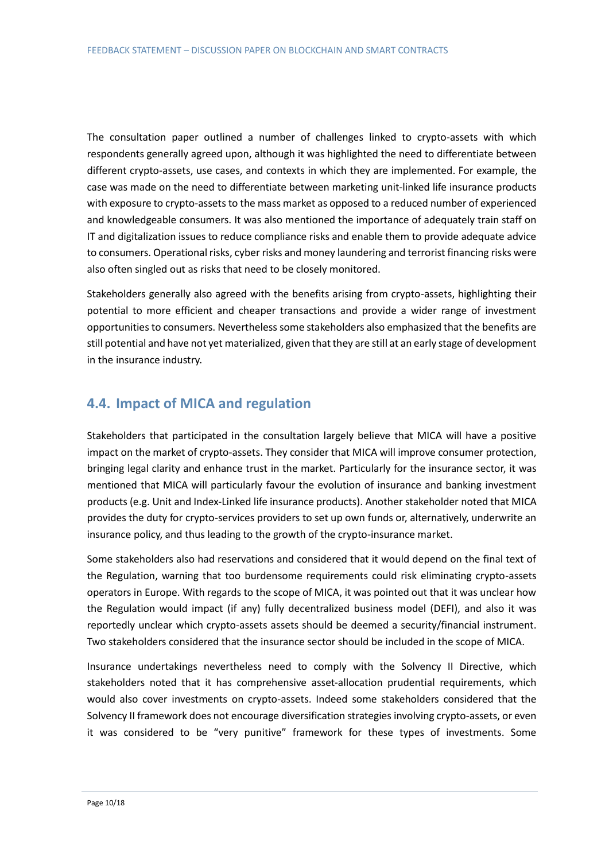The consultation paper outlined a number of challenges linked to crypto-assets with which respondents generally agreed upon, although it was highlighted the need to differentiate between different crypto-assets, use cases, and contexts in which they are implemented. For example, the case was made on the need to differentiate between marketing unit-linked life insurance products with exposure to crypto-assets to the mass market as opposed to a reduced number of experienced and knowledgeable consumers. It was also mentioned the importance of adequately train staff on IT and digitalization issues to reduce compliance risks and enable them to provide adequate advice to consumers. Operational risks, cyber risks and money laundering and terrorist financing risks were also often singled out as risks that need to be closely monitored.

Stakeholders generally also agreed with the benefits arising from crypto-assets, highlighting their potential to more efficient and cheaper transactions and provide a wider range of investment opportunities to consumers. Nevertheless some stakeholders also emphasized that the benefits are still potential and have not yet materialized, given that they are still at an early stage of development in the insurance industry.

### **4.4. Impact of MICA and regulation**

Stakeholders that participated in the consultation largely believe that MICA will have a positive impact on the market of crypto-assets. They consider that MICA will improve consumer protection, bringing legal clarity and enhance trust in the market. Particularly for the insurance sector, it was mentioned that MICA will particularly favour the evolution of insurance and banking investment products (e.g. Unit and Index-Linked life insurance products). Another stakeholder noted that MICA provides the duty for crypto-services providers to set up own funds or, alternatively, underwrite an insurance policy, and thus leading to the growth of the crypto-insurance market.

Some stakeholders also had reservations and considered that it would depend on the final text of the Regulation, warning that too burdensome requirements could risk eliminating crypto-assets operators in Europe. With regards to the scope of MICA, it was pointed out that it was unclear how the Regulation would impact (if any) fully decentralized business model (DEFI), and also it was reportedly unclear which crypto-assets assets should be deemed a security/financial instrument. Two stakeholders considered that the insurance sector should be included in the scope of MICA.

Insurance undertakings nevertheless need to comply with the Solvency II Directive, which stakeholders noted that it has comprehensive asset-allocation prudential requirements, which would also cover investments on crypto-assets. Indeed some stakeholders considered that the Solvency II framework does not encourage diversification strategies involving crypto-assets, or even it was considered to be "very punitive" framework for these types of investments. Some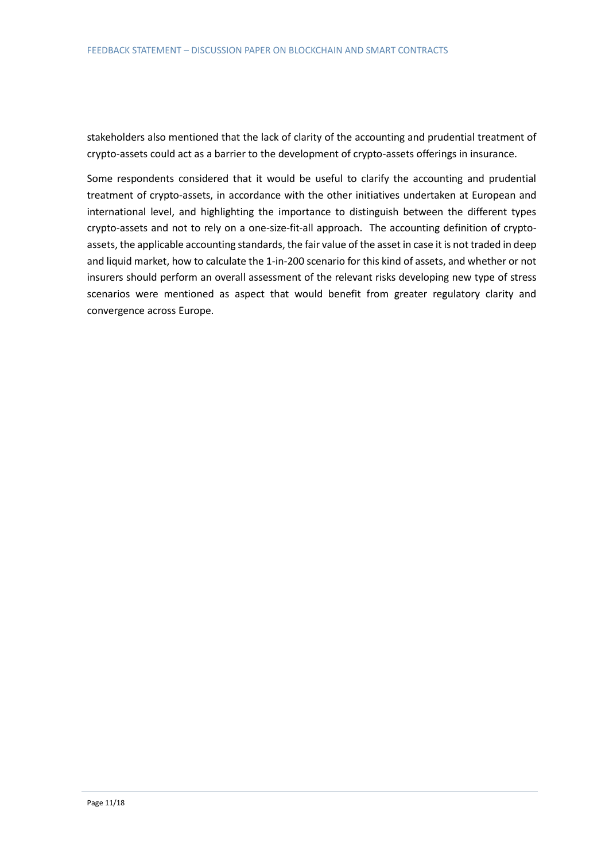stakeholders also mentioned that the lack of clarity of the accounting and prudential treatment of crypto-assets could act as a barrier to the development of crypto-assets offerings in insurance.

Some respondents considered that it would be useful to clarify the accounting and prudential treatment of crypto-assets, in accordance with the other initiatives undertaken at European and international level, and highlighting the importance to distinguish between the different types crypto-assets and not to rely on a one-size-fit-all approach. The accounting definition of cryptoassets, the applicable accounting standards, the fair value of the asset in case it is not traded in deep and liquid market, how to calculate the 1-in-200 scenario for this kind of assets, and whether or not insurers should perform an overall assessment of the relevant risks developing new type of stress scenarios were mentioned as aspect that would benefit from greater regulatory clarity and convergence across Europe.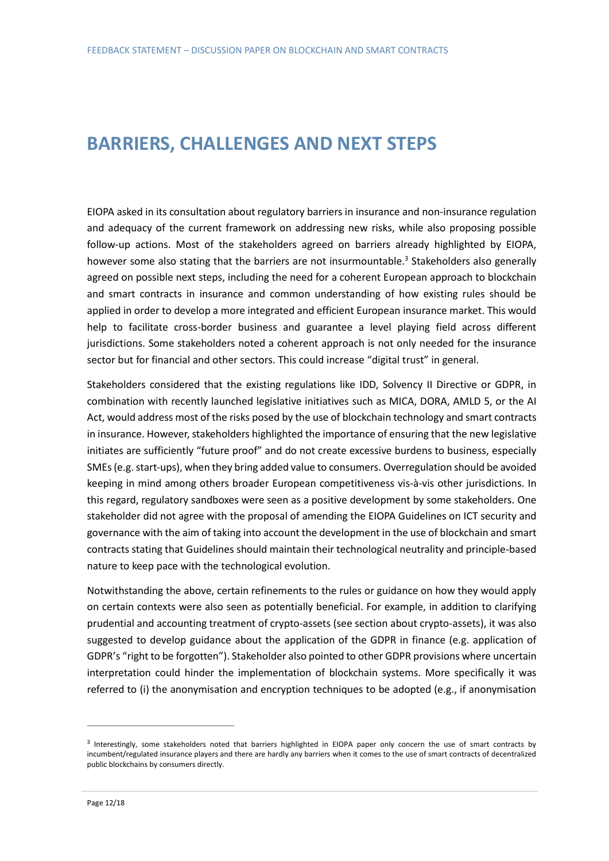### **BARRIERS, CHALLENGES AND NEXT STEPS**

EIOPA asked in its consultation about regulatory barriers in insurance and non-insurance regulation and adequacy of the current framework on addressing new risks, while also proposing possible follow-up actions. Most of the stakeholders agreed on barriers already highlighted by EIOPA, however some also stating that the barriers are not insurmountable.<sup>3</sup> Stakeholders also generally agreed on possible next steps, including the need for a coherent European approach to blockchain and smart contracts in insurance and common understanding of how existing rules should be applied in order to develop a more integrated and efficient European insurance market. This would help to facilitate cross-border business and guarantee a level playing field across different jurisdictions. Some stakeholders noted a coherent approach is not only needed for the insurance sector but for financial and other sectors. This could increase "digital trust" in general.

Stakeholders considered that the existing regulations like IDD, Solvency II Directive or GDPR, in combination with recently launched legislative initiatives such as MICA, DORA, AMLD 5, or the AI Act, would address most of the risks posed by the use of blockchain technology and smart contracts in insurance. However, stakeholders highlighted the importance of ensuring that the new legislative initiates are sufficiently "future proof" and do not create excessive burdens to business, especially SMEs (e.g. start-ups), when they bring added value to consumers. Overregulation should be avoided keeping in mind among others broader European competitiveness vis-à-vis other jurisdictions. In this regard, regulatory sandboxes were seen as a positive development by some stakeholders. One stakeholder did not agree with the proposal of amending the EIOPA Guidelines on ICT security and governance with the aim of taking into account the development in the use of blockchain and smart contracts stating that Guidelines should maintain their technological neutrality and principle-based nature to keep pace with the technological evolution.

Notwithstanding the above, certain refinements to the rules or guidance on how they would apply on certain contexts were also seen as potentially beneficial. For example, in addition to clarifying prudential and accounting treatment of crypto-assets (see section about crypto-assets), it was also suggested to develop guidance about the application of the GDPR in finance (e.g. application of GDPR's "right to be forgotten"). Stakeholder also pointed to other GDPR provisions where uncertain interpretation could hinder the implementation of blockchain systems. More specifically it was referred to (i) the anonymisation and encryption techniques to be adopted (e.g., if anonymisation

<sup>&</sup>lt;sup>3</sup> Interestingly, some stakeholders noted that barriers highlighted in EIOPA paper only concern the use of smart contracts by incumbent/regulated insurance players and there are hardly any barriers when it comes to the use of smart contracts of decentralized public blockchains by consumers directly.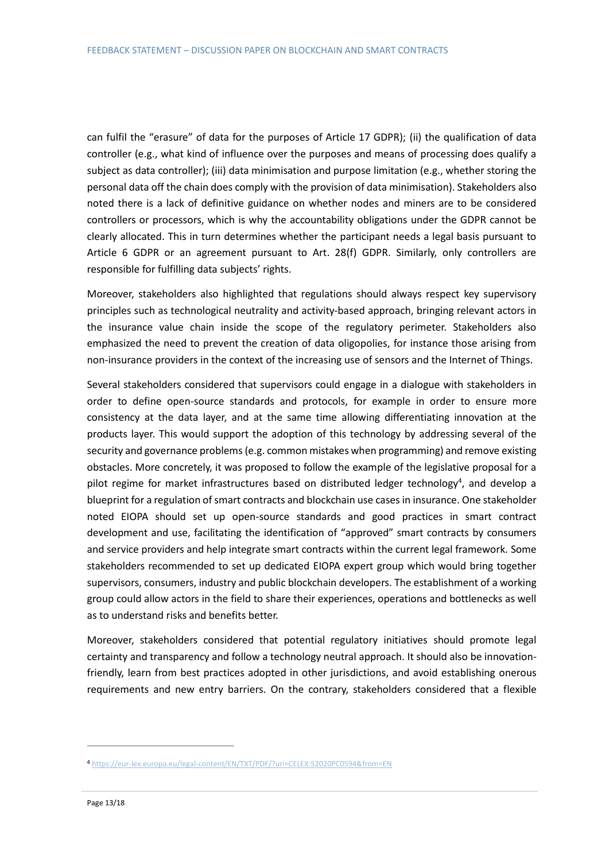can fulfil the "erasure" of data for the purposes of Article 17 GDPR); (ii) the qualification of data controller (e.g., what kind of influence over the purposes and means of processing does qualify a subject as data controller); (iii) data minimisation and purpose limitation (e.g., whether storing the personal data off the chain does comply with the provision of data minimisation). Stakeholders also noted there is a lack of definitive guidance on whether nodes and miners are to be considered controllers or processors, which is why the accountability obligations under the GDPR cannot be clearly allocated. This in turn determines whether the participant needs a legal basis pursuant to Article 6 GDPR or an agreement pursuant to Art. 28(f) GDPR. Similarly, only controllers are responsible for fulfilling data subjects' rights.

Moreover, stakeholders also highlighted that regulations should always respect key supervisory principles such as technological neutrality and activity-based approach, bringing relevant actors in the insurance value chain inside the scope of the regulatory perimeter. Stakeholders also emphasized the need to prevent the creation of data oligopolies, for instance those arising from non-insurance providers in the context of the increasing use of sensors and the Internet of Things.

Several stakeholders considered that supervisors could engage in a dialogue with stakeholders in order to define open-source standards and protocols, for example in order to ensure more consistency at the data layer, and at the same time allowing differentiating innovation at the products layer. This would support the adoption of this technology by addressing several of the security and governance problems(e.g. common mistakes when programming) and remove existing obstacles. More concretely, it was proposed to follow the example of the legislative proposal for a pilot regime for market infrastructures based on distributed ledger technology<sup>4</sup>, and develop a blueprint for a regulation of smart contracts and blockchain use cases in insurance. One stakeholder noted EIOPA should set up open-source standards and good practices in smart contract development and use, facilitating the identification of "approved" smart contracts by consumers and service providers and help integrate smart contracts within the current legal framework. Some stakeholders recommended to set up dedicated EIOPA expert group which would bring together supervisors, consumers, industry and public blockchain developers. The establishment of a working group could allow actors in the field to share their experiences, operations and bottlenecks as well as to understand risks and benefits better.

Moreover, stakeholders considered that potential regulatory initiatives should promote legal certainty and transparency and follow a technology neutral approach. It should also be innovationfriendly, learn from best practices adopted in other jurisdictions, and avoid establishing onerous requirements and new entry barriers. On the contrary, stakeholders considered that a flexible

<sup>4</sup> <https://eur-lex.europa.eu/legal-content/EN/TXT/PDF/?uri=CELEX:52020PC0594&from=EN>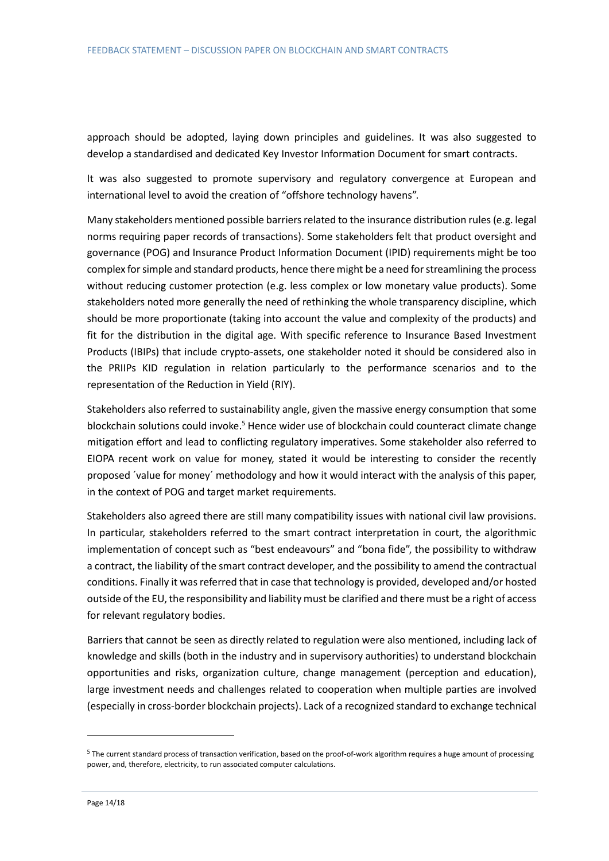approach should be adopted, laying down principles and guidelines. It was also suggested to develop a standardised and dedicated Key Investor Information Document for smart contracts.

It was also suggested to promote supervisory and regulatory convergence at European and international level to avoid the creation of "offshore technology havens".

Many stakeholders mentioned possible barriers related to the insurance distribution rules (e.g. legal norms requiring paper records of transactions). Some stakeholders felt that product oversight and governance (POG) and Insurance Product Information Document (IPID) requirements might be too complex for simple and standard products, hence there might be a need for streamlining the process without reducing customer protection (e.g. less complex or low monetary value products). Some stakeholders noted more generally the need of rethinking the whole transparency discipline, which should be more proportionate (taking into account the value and complexity of the products) and fit for the distribution in the digital age. With specific reference to Insurance Based Investment Products (IBIPs) that include crypto-assets, one stakeholder noted it should be considered also in the PRIIPs KID regulation in relation particularly to the performance scenarios and to the representation of the Reduction in Yield (RIY).

Stakeholders also referred to sustainability angle, given the massive energy consumption that some blockchain solutions could invoke.<sup>5</sup> Hence wider use of blockchain could counteract climate change mitigation effort and lead to conflicting regulatory imperatives. Some stakeholder also referred to EIOPA recent work on value for money, stated it would be interesting to consider the recently proposed ´value for money´ methodology and how it would interact with the analysis of this paper, in the context of POG and target market requirements.

Stakeholders also agreed there are still many compatibility issues with national civil law provisions. In particular, stakeholders referred to the smart contract interpretation in court, the algorithmic implementation of concept such as "best endeavours" and "bona fide", the possibility to withdraw a contract, the liability of the smart contract developer, and the possibility to amend the contractual conditions. Finally it was referred that in case that technology is provided, developed and/or hosted outside of the EU, the responsibility and liability must be clarified and there must be a right of access for relevant regulatory bodies.

Barriers that cannot be seen as directly related to regulation were also mentioned, including lack of knowledge and skills (both in the industry and in supervisory authorities) to understand blockchain opportunities and risks, organization culture, change management (perception and education), large investment needs and challenges related to cooperation when multiple parties are involved (especially in cross-border blockchain projects). Lack of a recognized standard to exchange technical

<sup>&</sup>lt;sup>5</sup> The current standard process of transaction verification, based on the proof-of-work algorithm requires a huge amount of processing power, and, therefore, electricity, to run associated computer calculations.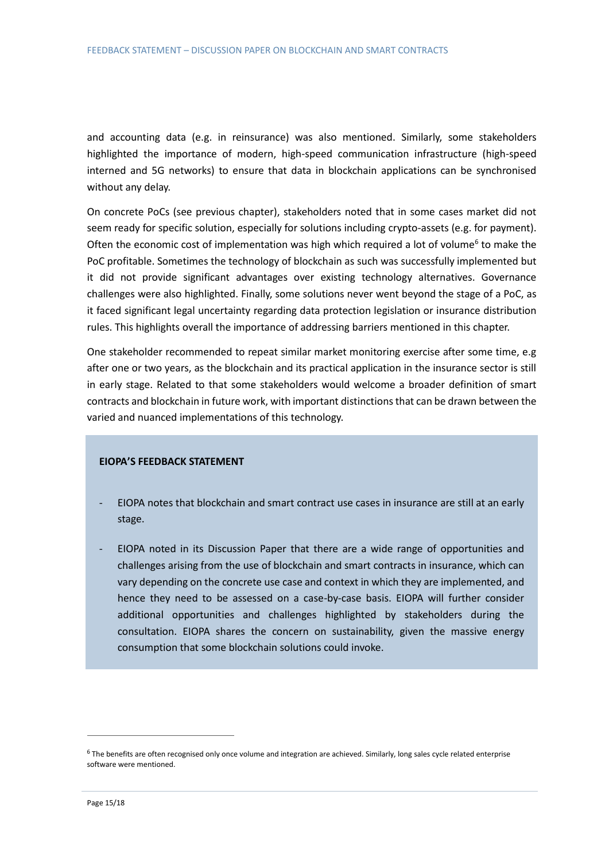and accounting data (e.g. in reinsurance) was also mentioned. Similarly, some stakeholders highlighted the importance of modern, high-speed communication infrastructure (high-speed interned and 5G networks) to ensure that data in blockchain applications can be synchronised without any delay.

On concrete PoCs (see previous chapter), stakeholders noted that in some cases market did not seem ready for specific solution, especially for solutions including crypto-assets (e.g. for payment). Often the economic cost of implementation was high which required a lot of volume<sup>6</sup> to make the PoC profitable. Sometimes the technology of blockchain as such was successfully implemented but it did not provide significant advantages over existing technology alternatives. Governance challenges were also highlighted. Finally, some solutions never went beyond the stage of a PoC, as it faced significant legal uncertainty regarding data protection legislation or insurance distribution rules. This highlights overall the importance of addressing barriers mentioned in this chapter.

One stakeholder recommended to repeat similar market monitoring exercise after some time, e.g after one or two years, as the blockchain and its practical application in the insurance sector is still in early stage. Related to that some stakeholders would welcome a broader definition of smart contracts and blockchain in future work, with important distinctions that can be drawn between the varied and nuanced implementations of this technology.

#### **EIOPA'S FEEDBACK STATEMENT**

- EIOPA notes that blockchain and smart contract use cases in insurance are still at an early stage.
- EIOPA noted in its Discussion Paper that there are a wide range of opportunities and challenges arising from the use of blockchain and smart contracts in insurance, which can vary depending on the concrete use case and context in which they are implemented, and hence they need to be assessed on a case-by-case basis. EIOPA will further consider additional opportunities and challenges highlighted by stakeholders during the consultation. EIOPA shares the concern on sustainability, given the massive energy consumption that some blockchain solutions could invoke.

<sup>&</sup>lt;sup>6</sup> The benefits are often recognised only once volume and integration are achieved. Similarly, long sales cycle related enterprise software were mentioned.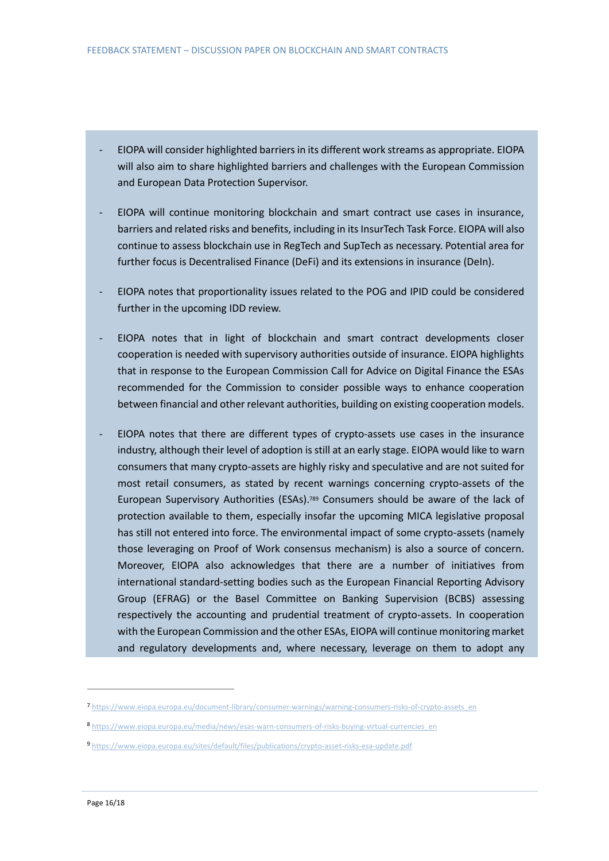- EIOPA will consider highlighted barriers in its different work streams as appropriate. EIOPA will also aim to share highlighted barriers and challenges with the European Commission and European Data Protection Supervisor.
- EIOPA will continue monitoring blockchain and smart contract use cases in insurance, barriers and related risks and benefits, including in its InsurTech Task Force. EIOPA will also continue to assess blockchain use in RegTech and SupTech as necessary. Potential area for further focus is Decentralised Finance (DeFi) and its extensions in insurance (DeIn).
- EIOPA notes that proportionality issues related to the POG and IPID could be considered further in the upcoming IDD review.
- EIOPA notes that in light of blockchain and smart contract developments closer cooperation is needed with supervisory authorities outside of insurance. EIOPA highlights that in response to the European Commission Call for Advice on Digital Finance the ESAs recommended for the Commission to consider possible ways to enhance cooperation between financial and other relevant authorities, building on existing cooperation models.
- EIOPA notes that there are different types of crypto-assets use cases in the insurance industry, although their level of adoption is still at an early stage. EIOPA would like to warn consumers that many crypto-assets are highly risky and speculative and are not suited for most retail consumers, as stated by recent warnings concerning crypto-assets of the European Supervisory Authorities (ESAs).<sup>789</sup> Consumers should be aware of the lack of protection available to them, especially insofar the upcoming MICA legislative proposal has still not entered into force. The environmental impact of some crypto-assets (namely those leveraging on Proof of Work consensus mechanism) is also a source of concern. Moreover, EIOPA also acknowledges that there are a number of initiatives from international standard-setting bodies such as the European Financial Reporting Advisory Group (EFRAG) or the Basel Committee on Banking Supervision (BCBS) assessing respectively the accounting and prudential treatment of crypto-assets. In cooperation with the European Commission and the other ESAs, EIOPA will continue monitoring market and regulatory developments and, where necessary, leverage on them to adopt any

<sup>7</sup> [https://www.eiopa.europa.eu/document-library/consumer-warnings/warning-consumers-risks-of-crypto-assets\\_en](https://www.eiopa.europa.eu/document-library/consumer-warnings/warning-consumers-risks-of-crypto-assets_en)\_

<sup>8</sup> [https://www.eiopa.europa.eu/media/news/esas-warn-consumers-of-risks-buying-virtual-currencies\\_en](https://www.eiopa.europa.eu/media/news/esas-warn-consumers-of-risks-buying-virtual-currencies_en)

<sup>9</sup> <https://www.eiopa.europa.eu/sites/default/files/publications/crypto-asset-risks-esa-update.pdf>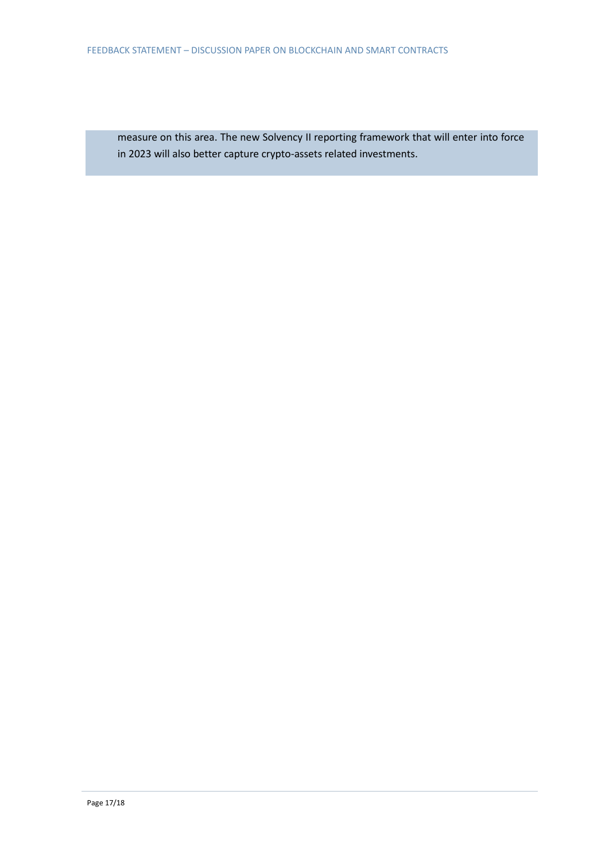measure on this area. The new Solvency II reporting framework that will enter into force in 2023 will also better capture crypto-assets related investments.